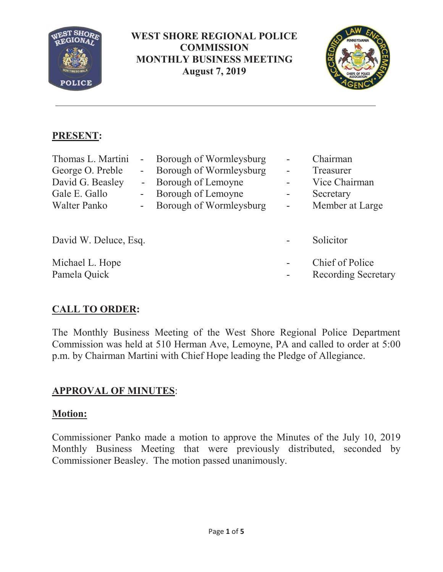

**WEST SHORE REGIONAL POLICE COMMISSION MONTHLY BUSINESS MEETING August 7, 2019** 



## **PRESENT:**

| Thomas L. Martini     |                          | Borough of Wormleysburg |                | Chairman                   |
|-----------------------|--------------------------|-------------------------|----------------|----------------------------|
| George O. Preble      | $\sim$                   | Borough of Wormleysburg |                | Treasurer                  |
| David G. Beasley      |                          | Borough of Lemoyne      |                | Vice Chairman              |
| Gale E. Gallo         | $\blacksquare$           | Borough of Lemoyne      | ۰              | Secretary                  |
| Walter Panko          | $\overline{\phantom{a}}$ | Borough of Wormleysburg | $\blacksquare$ | Member at Large            |
|                       |                          |                         |                |                            |
| David W. Deluce, Esq. |                          |                         |                | Solicitor                  |
| Michael L. Hope       |                          |                         |                | Chief of Police            |
| Pamela Quick          |                          |                         |                | <b>Recording Secretary</b> |

# **CALL TO ORDER:**

The Monthly Business Meeting of the West Shore Regional Police Department Commission was held at 510 Herman Ave, Lemoyne, PA and called to order at 5:00 p.m. by Chairman Martini with Chief Hope leading the Pledge of Allegiance.

## **APPROVAL OF MINUTES**:

### **Motion:**

Commissioner Panko made a motion to approve the Minutes of the July 10, 2019 Monthly Business Meeting that were previously distributed, seconded by Commissioner Beasley. The motion passed unanimously.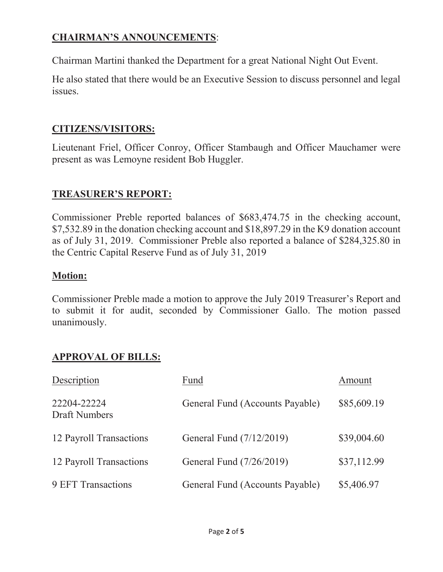## **CHAIRMAN'S ANNOUNCEMENTS**:

Chairman Martini thanked the Department for a great National Night Out Event.

He also stated that there would be an Executive Session to discuss personnel and legal issues.

#### **CITIZENS/VISITORS:**

Lieutenant Friel, Officer Conroy, Officer Stambaugh and Officer Mauchamer were present as was Lemoyne resident Bob Huggler.

### **TREASURER'S REPORT:**

Commissioner Preble reported balances of \$683,474.75 in the checking account, \$7,532.89 in the donation checking account and \$18,897.29 in the K9 donation account as of July 31, 2019. Commissioner Preble also reported a balance of \$284,325.80 in the Centric Capital Reserve Fund as of July 31, 2019

#### **Motion:**

Commissioner Preble made a motion to approve the July 2019 Treasurer's Report and to submit it for audit, seconded by Commissioner Gallo. The motion passed unanimously.

## **APPROVAL OF BILLS:**

| Description                  | Fund                            | Amount      |
|------------------------------|---------------------------------|-------------|
| 22204-22224<br>Draft Numbers | General Fund (Accounts Payable) | \$85,609.19 |
| 12 Payroll Transactions      | General Fund (7/12/2019)        | \$39,004.60 |
| 12 Payroll Transactions      | General Fund (7/26/2019)        | \$37,112.99 |
| 9 EFT Transactions           | General Fund (Accounts Payable) | \$5,406.97  |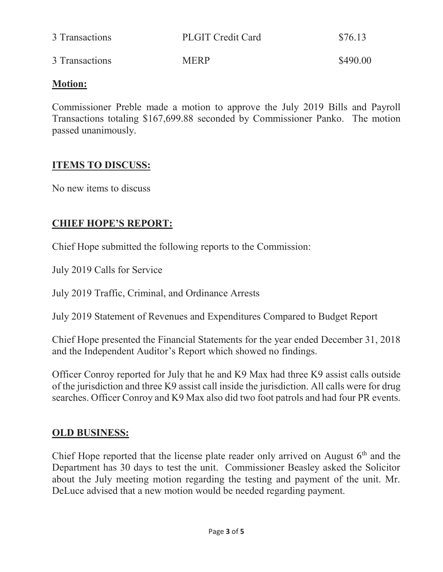| 3 Transactions | <b>PLGIT Credit Card</b> | \$76.13  |
|----------------|--------------------------|----------|
| 3 Transactions | <b>MERP</b>              | \$490.00 |

#### **Motion:**

Commissioner Preble made a motion to approve the July 2019 Bills and Payroll Transactions totaling \$167,699.88 seconded by Commissioner Panko. The motion passed unanimously.

### **ITEMS TO DISCUSS:**

No new items to discuss

### **CHIEF HOPE'S REPORT:**

Chief Hope submitted the following reports to the Commission:

July 2019 Calls for Service

July 2019 Traffic, Criminal, and Ordinance Arrests

July 2019 Statement of Revenues and Expenditures Compared to Budget Report

Chief Hope presented the Financial Statements for the year ended December 31, 2018 and the Independent Auditor's Report which showed no findings.

Officer Conroy reported for July that he and K9 Max had three K9 assist calls outside of the jurisdiction and three K9 assist call inside the jurisdiction. All calls were for drug searches. Officer Conroy and K9 Max also did two foot patrols and had four PR events.

### **OLD BUSINESS:**

Chief Hope reported that the license plate reader only arrived on August  $6<sup>th</sup>$  and the Department has 30 days to test the unit. Commissioner Beasley asked the Solicitor about the July meeting motion regarding the testing and payment of the unit. Mr. DeLuce advised that a new motion would be needed regarding payment.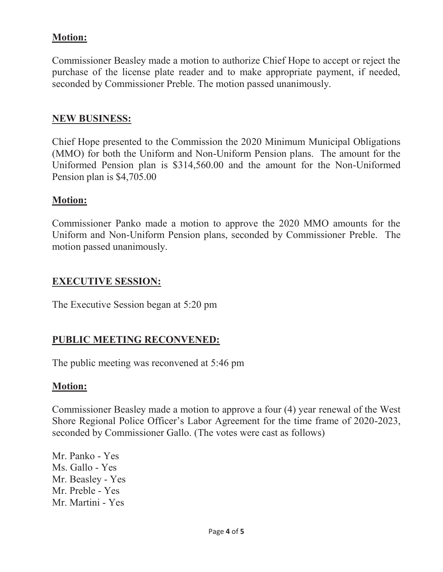### **Motion:**

Commissioner Beasley made a motion to authorize Chief Hope to accept or reject the purchase of the license plate reader and to make appropriate payment, if needed, seconded by Commissioner Preble. The motion passed unanimously.

#### **NEW BUSINESS:**

Chief Hope presented to the Commission the 2020 Minimum Municipal Obligations (MMO) for both the Uniform and Non-Uniform Pension plans. The amount for the Uniformed Pension plan is \$314,560.00 and the amount for the Non-Uniformed Pension plan is \$4,705.00

#### **Motion:**

Commissioner Panko made a motion to approve the 2020 MMO amounts for the Uniform and Non-Uniform Pension plans, seconded by Commissioner Preble. The motion passed unanimously.

#### **EXECUTIVE SESSION:**

The Executive Session began at 5:20 pm

#### **PUBLIC MEETING RECONVENED:**

The public meeting was reconvened at 5:46 pm

#### **Motion:**

Commissioner Beasley made a motion to approve a four (4) year renewal of the West Shore Regional Police Officer's Labor Agreement for the time frame of 2020-2023, seconded by Commissioner Gallo. (The votes were cast as follows)

Mr. Panko - Yes Ms. Gallo - Yes Mr. Beasley - Yes Mr. Preble - Yes Mr. Martini - Yes